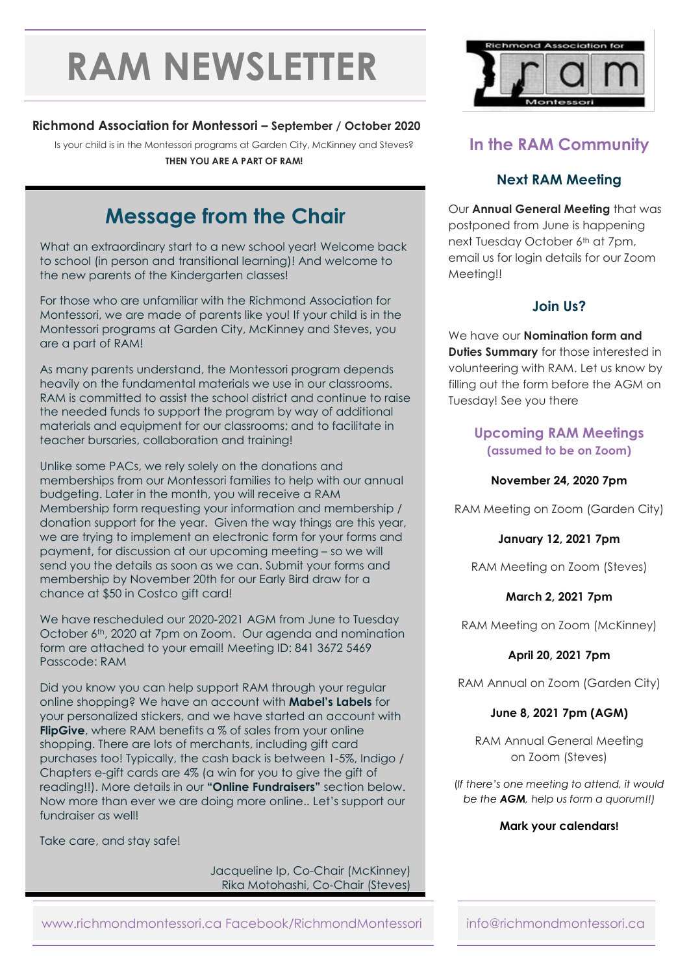# **RAM NEWSLETTER**

## **Richmond Association for Montessori – September / October 2020**

Is your child is in the Montessori programs at Garden City, McKinney and Steves? **THEN YOU ARE A PART OF RAM!**

# **Message from the Chair**

What an extraordinary start to a new school year! Welcome back to school (in person and transitional learning)! And welcome to the new parents of the Kindergarten classes!

For those who are unfamiliar with the Richmond Association for Montessori, we are made of parents like you! If your child is in the Montessori programs at Garden City, McKinney and Steves, you are a part of RAM!

As many parents understand, the Montessori program depends heavily on the fundamental materials we use in our classrooms. RAM is committed to assist the school district and continue to raise the needed funds to support the program by way of additional materials and equipment for our classrooms; and to facilitate in teacher bursaries, collaboration and training!

Unlike some PACs, we rely solely on the donations and memberships from our Montessori families to help with our annual budgeting. Later in the month, you will receive a RAM Membership form requesting your information and membership / donation support for the year. Given the way things are this year, we are trying to implement an electronic form for your forms and payment, for discussion at our upcoming meeting – so we will send you the details as soon as we can. Submit your forms and membership by November 20th for our Early Bird draw for a chance at \$50 in Costco gift card!

We have rescheduled our 2020-2021 AGM from June to Tuesday October 6th, 2020 at 7pm on Zoom. Our agenda and nomination form are attached to your email! Meeting ID: 841 3672 5469 Passcode: RAM

Did you know you can help support RAM through your regular online shopping? We have an account with **Mabel's Labels** for your personalized stickers, and we have started an account with **FlipGive**, where RAM benefits a % of sales from your online shopping. There are lots of merchants, including gift card purchases too! Typically, the cash back is between 1-5%, Indigo / Chapters e-gift cards are 4% (a win for you to give the gift of reading!!). More details in our **"Online Fundraisers"** section below. Now more than ever we are doing more online.. Let's support our fundraiser as well!

Take care, and stay safe!

Jacqueline Ip, Co-Chair (McKinney) Rika Motohashi, Co-Chair (Steves)



## **In the RAM Community**

## **Next RAM Meeting**

Our **Annual General Meeting** that was postponed from June is happening next Tuesday October 6th at 7pm, email us for login details for our Zoom Meeting!!

## **Join Us?**

We have our **Nomination form and Duties Summary** for those interested in volunteering with RAM. Let us know by filling out the form before the AGM on Tuesday! See you there

### **Upcoming RAM Meetings (assumed to be on Zoom)**

#### **November 24, 2020 7pm**

RAM Meeting on Zoom (Garden City)

**January 12, 2021 7pm**

RAM Meeting on Zoom (Steves)

#### **March 2, 2021 7pm**

RAM Meeting on Zoom (McKinney)

#### **April 20, 2021 7pm**

RAM Annual on Zoom (Garden City)

#### **June 8, 2021 7pm (AGM)**

RAM Annual General Meeting on Zoom (Steves)

(*If there's one meeting to attend, it would be the AGM, help us form a quorum!!)*

#### **Mark your calendars!**

www.richmondmontessori.ca Facebook/RichmondMontessori info@richmondmontessori.ca